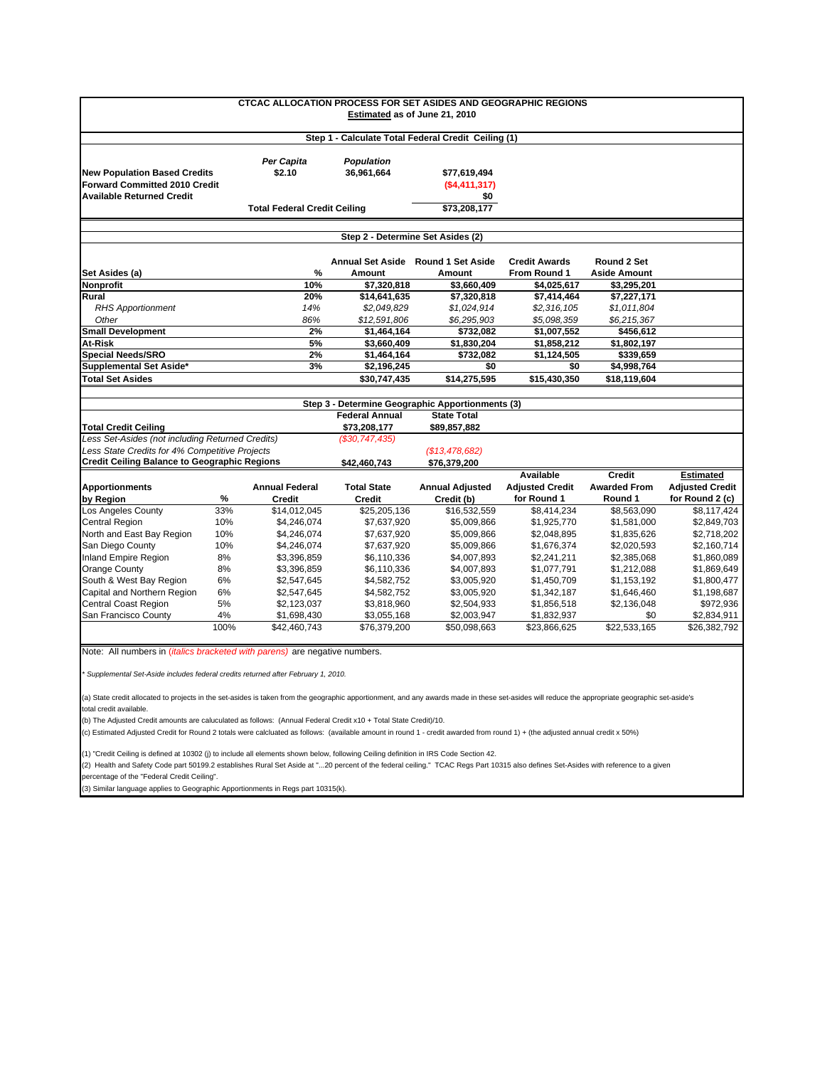| <b>CTCAC ALLOCATION PROCESS FOR SET ASIDES AND GEOGRAPHIC REGIONS</b><br>Estimated as of June 21, 2010                                                                         |      |                          |                                                       |                                                  |                                           |                                           |                        |  |  |  |  |
|--------------------------------------------------------------------------------------------------------------------------------------------------------------------------------|------|--------------------------|-------------------------------------------------------|--------------------------------------------------|-------------------------------------------|-------------------------------------------|------------------------|--|--|--|--|
| Step 1 - Calculate Total Federal Credit Ceiling (1)                                                                                                                            |      |                          |                                                       |                                                  |                                           |                                           |                        |  |  |  |  |
| Per Capita<br><b>New Population Based Credits</b><br>\$2.10<br><b>Forward Committed 2010 Credit</b><br><b>Available Returned Credit</b><br><b>Total Federal Credit Ceiling</b> |      | Population<br>36,961,664 | \$77,619,494<br>( \$4,411,317)<br>\$0<br>\$73,208,177 |                                                  |                                           |                                           |                        |  |  |  |  |
|                                                                                                                                                                                |      |                          | Step 2 - Determine Set Asides (2)                     |                                                  |                                           |                                           |                        |  |  |  |  |
|                                                                                                                                                                                |      | $\%$                     | Amount                                                | Annual Set Aside Round 1 Set Aside<br>Amount     | <b>Credit Awards</b><br>From Round 1      | Round 2 Set<br><b>Aside Amount</b>        |                        |  |  |  |  |
| Set Asides (a)<br>Nonprofit                                                                                                                                                    |      | 10%                      | \$7,320,818                                           | \$3,660,409                                      | \$4,025,617                               | \$3,295,201                               |                        |  |  |  |  |
| Rural<br><b>RHS Apportionment</b><br>Other                                                                                                                                     |      | 20%<br>14%<br>86%        | \$14,641,635<br>\$2,049,829<br>\$12,591,806           | \$7,320,818<br>\$1,024,914<br>\$6,295,903        | \$7,414,464<br>\$2,316,105<br>\$5,098,359 | \$7,227,171<br>\$1,011,804<br>\$6,215,367 |                        |  |  |  |  |
| <b>Small Development</b>                                                                                                                                                       |      | 2%                       | \$1,464,164                                           | \$732,082                                        | \$1,007,552                               | \$456,612                                 |                        |  |  |  |  |
| At-Risk<br>5%                                                                                                                                                                  |      | \$3,660,409              | \$1,830,204                                           | \$1,858,212                                      | \$1,802,197                               |                                           |                        |  |  |  |  |
| <b>Special Needs/SRO</b><br>2%                                                                                                                                                 |      | \$1,464,164              | \$732,082                                             | \$1,124,505                                      | \$339,659                                 |                                           |                        |  |  |  |  |
| Supplemental Set Aside*<br>3%                                                                                                                                                  |      | \$2,196,245              | \$0                                                   | \$0                                              | \$4,998,764                               |                                           |                        |  |  |  |  |
| <b>Total Set Asides</b>                                                                                                                                                        |      |                          | \$30,747,435                                          | \$14,275,595                                     | \$15,430,350                              | \$18,119,604                              |                        |  |  |  |  |
|                                                                                                                                                                                |      |                          |                                                       |                                                  |                                           |                                           |                        |  |  |  |  |
|                                                                                                                                                                                |      |                          |                                                       | Step 3 - Determine Geographic Apportionments (3) |                                           |                                           |                        |  |  |  |  |
|                                                                                                                                                                                |      |                          | <b>Federal Annual</b>                                 | <b>State Total</b>                               |                                           |                                           |                        |  |  |  |  |
|                                                                                                                                                                                |      |                          | \$73,208,177                                          | \$89,857,882                                     |                                           |                                           |                        |  |  |  |  |
| Total Credit Ceiling<br>Less Set-Asides (not including Returned Credits)                                                                                                       |      |                          | (\$30,747,435)                                        |                                                  |                                           |                                           |                        |  |  |  |  |
| Less State Credits for 4% Competitive Projects                                                                                                                                 |      |                          |                                                       | (\$13,478,682)                                   |                                           |                                           |                        |  |  |  |  |
| <b>Credit Ceiling Balance to Geographic Regions</b>                                                                                                                            |      |                          | \$42,460,743                                          | \$76,379,200                                     |                                           |                                           |                        |  |  |  |  |
|                                                                                                                                                                                |      |                          |                                                       |                                                  | Available                                 | <b>Credit</b>                             | <b>Estimated</b>       |  |  |  |  |
| <b>Apportionments</b>                                                                                                                                                          |      | <b>Annual Federal</b>    | <b>Total State</b>                                    | <b>Annual Adjusted</b>                           | <b>Adjusted Credit</b>                    | <b>Awarded From</b>                       | <b>Adjusted Credit</b> |  |  |  |  |
|                                                                                                                                                                                | %    | Credit                   | <b>Credit</b>                                         | Credit (b)                                       | for Round 1                               | Round 1                                   | for Round 2 (c)        |  |  |  |  |
| by Region<br>Los Angeles County                                                                                                                                                | 33%  | \$14,012,045             | \$25,205,136                                          | \$16,532,559                                     | \$8,414,234                               | \$8,563,090                               | \$8,117,424            |  |  |  |  |
| <b>Central Region</b>                                                                                                                                                          | 10%  | \$4,246,074              | \$7,637,920                                           | \$5,009,866                                      | \$1,925,770                               | \$1,581,000                               | \$2,849,703            |  |  |  |  |
| North and East Bay Region                                                                                                                                                      | 10%  | \$4,246,074              | \$7,637,920                                           | \$5,009,866                                      | \$2,048,895                               | \$1,835,626                               | \$2,718,202            |  |  |  |  |
| San Diego County                                                                                                                                                               | 10%  | \$4,246,074              | \$7,637,920                                           | \$5,009,866                                      | \$1,676,374                               | \$2,020,593                               | \$2,160,714            |  |  |  |  |
| Inland Empire Region                                                                                                                                                           | 8%   | \$3,396,859              | \$6,110,336                                           | \$4,007,893                                      | \$2,241,211                               | \$2,385,068                               | \$1,860,089            |  |  |  |  |
|                                                                                                                                                                                | 8%   | \$3,396,859              | \$6,110,336                                           | \$4,007,893                                      | \$1,077,791                               | \$1,212,088                               | \$1,869,649            |  |  |  |  |
| Orange County<br>South & West Bay Region                                                                                                                                       | 6%   | \$2,547,645              | \$4,582,752                                           | \$3,005,920                                      | \$1,450,709                               | \$1,153,192                               | \$1,800,477            |  |  |  |  |
|                                                                                                                                                                                | 6%   | \$2,547,645              | \$4,582,752                                           | \$3,005,920                                      | \$1,342,187                               | \$1,646,460                               | \$1,198,687            |  |  |  |  |
| Capital and Northern Region<br>Central Coast Region                                                                                                                            | 5%   | \$2,123,037              | \$3,818,960                                           | \$2,504,933                                      | \$1,856,518                               | \$2,136,048                               | \$972,936              |  |  |  |  |
| San Francisco County                                                                                                                                                           | 4%   | \$1,698,430              | \$3,055,168                                           | \$2,003,947                                      | \$1,832,937                               | \$0                                       | \$2,834,911            |  |  |  |  |
|                                                                                                                                                                                | 100% | \$42,460,743             | \$76,379,200                                          | \$50,098,663                                     | \$23,866,625                              | \$22,533,165                              | \$26,382,792           |  |  |  |  |
| Note: All numbers in <i>(italics bracketed with parens)</i> are negative numbers.                                                                                              |      |                          |                                                       |                                                  |                                           |                                           |                        |  |  |  |  |

*\* Supplemental Set-Aside includes federal credits returned after February 1, 2010.* 

(a) State credit allocated to projects in the set-asides is taken from the geographic apportionment, and any awards made in these set-asides will reduce the appropriate geographic set-aside's total credit available.

(b) The Adjusted Credit amounts are caluculated as follows: (Annual Federal Credit x10 + Total State Credit)/10.

(c) Estimated Adjusted Credit for Round 2 totals were calcluated as follows: (available amount in round 1 - credit awarded from round 1) + (the adjusted annual credit x 50%)

(1) "Credit Ceiling is defined at 10302 (j) to include all elements shown below, following Ceiling definition in IRS Code Section 42.

(2) Health and Safety Code part 50199.2 establishes Rural Set Aside at "...20 percent of the federal ceiling." TCAC Regs Part 10315 also defines Set-Asides with reference to a given

percentage of the "Federal Credit Ceiling".

(3) Similar language applies to Geographic Apportionments in Regs part 10315(k).